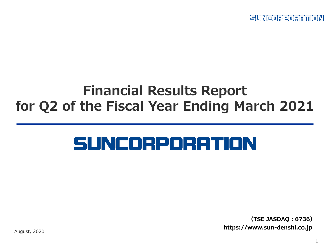SUNCORPORATION

## **Financial Results Report for Q2 of the Fiscal Year Ending March 2021**

# SUNCORPORATION

**(TSE JASDAQ:6736) https://www.sun-denshi.co.jp**

August, 2020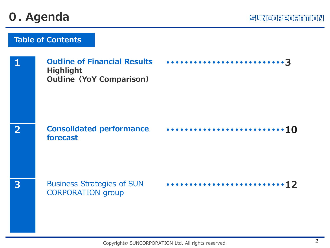## **0. Agenda**

|   | <b>Outline of Financial Results</b><br><b>Highlight</b><br><b>Outline (YoY Comparison)</b> |  |
|---|--------------------------------------------------------------------------------------------|--|
|   | <b>Consolidated performance</b><br>forecast                                                |  |
| 3 | <b>Business Strategies of SUN</b><br><b>CORPORATION</b> group                              |  |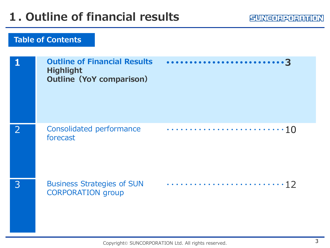| <b>Outline of Financial Results</b><br><b>Highlight</b><br><b>Outline (YoY comparison)</b> |  |
|--------------------------------------------------------------------------------------------|--|
| Consolidated performance<br>forecast                                                       |  |
| <b>Business Strategies of SUN</b><br><b>CORPORATION</b> group                              |  |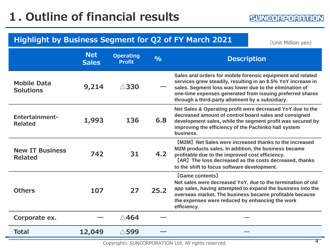## **Highlight by Business Segment for Q2 of FY March 2021** (Unit Million yen)

|                                          | <b>Net</b><br><b>Sales</b> | <b>Operating</b><br><b>Profit</b> | $\frac{0}{0}$ | <b>Description</b>                                                                                                                                                                                                                                                                                     |
|------------------------------------------|----------------------------|-----------------------------------|---------------|--------------------------------------------------------------------------------------------------------------------------------------------------------------------------------------------------------------------------------------------------------------------------------------------------------|
| <b>Mobile Data</b><br><b>Solutions</b>   | 9,214                      | $\triangle$ 330                   |               | Sales and orders for mobile forensic equipment and related<br>services grew steadily, resulting in an 8.5% YoY increase in<br>sales. Segment loss was lower due to the elimination of<br>one-time expenses generated from issuing preferred shares<br>through a third-party allotment by a subsidiary. |
| <b>Entertainment-</b><br><b>Related</b>  | 1,993                      | 136                               | 6.8           | Net Sales & Operating profit were decreased YoY due to the<br>decreased amount of control board sales and consigned<br>development sales, while the segment profit was secured by<br>improving the efficiency of the Pachinko hall system<br>business.                                                 |
| <b>New IT Business</b><br><b>Related</b> | 742                        | 31                                | 4.2           | [M2M] Net Sales were increased thanks to the increased<br>M2M products sales. In addition, the business became<br>profitable due to the improved cost efficiency.<br>[AR] The loss decreased as the costs decreased, thanks<br>to the shift to focus software development.                             |
| <b>Others</b>                            | 107                        | 27                                | 25.2          | [Game contents]<br>Net sales were decreased YoY, due to the termination of old<br>app sales, having attempted to expand the business into the<br>overseas market. The business became profitable because<br>the expenses were reduced by enhancing the work<br>efficiency.                             |
| Corporate ex.                            |                            | $\triangle$ 464                   |               |                                                                                                                                                                                                                                                                                                        |
| <b>Total</b>                             | 12,049                     | $\triangle$ 599                   |               |                                                                                                                                                                                                                                                                                                        |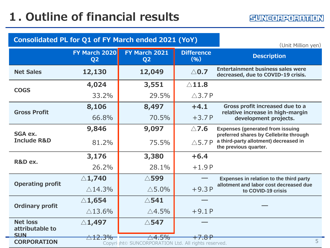| Consolidated PL for Q1 of FY March ended 2021 (YoY) | (Unit Million yen)                     |                                                                  |                           |                                                                                   |
|-----------------------------------------------------|----------------------------------------|------------------------------------------------------------------|---------------------------|-----------------------------------------------------------------------------------|
|                                                     | <b>FY March 2020</b><br>Q <sub>2</sub> | FY March 2021<br>Q <sub>2</sub>                                  | <b>Difference</b><br>(% ) | <b>Description</b>                                                                |
| <b>Net Sales</b>                                    | 12,130                                 | 12,049                                                           | $\triangle$ 0.7           | <b>Entertainment business sales were</b><br>decreased, due to COVID-19 crisis.    |
| <b>COGS</b>                                         | 4,024                                  | 3,551                                                            | $\triangle$ 11.8          |                                                                                   |
|                                                     | 33.2%                                  | 29.5%                                                            | $\triangle$ 3.7P          |                                                                                   |
| <b>Gross Profit</b>                                 | 8,106                                  | 8,497                                                            | $+4.1$                    | Gross profit increased due to a<br>relative increase in high-margin               |
|                                                     | 66.8%                                  | 70.5%                                                            | $+3.7P$                   | development projects.                                                             |
| SGA ex.                                             | 9,846                                  | 9,097                                                            | $\triangle$ 7.6           | <b>Expenses (generated from issuing</b><br>preferred shares by Cellebrite through |
| <b>Include R&amp;D</b>                              | 81.2%                                  | 75.5%                                                            | $\triangle$ 5.7P          | a third-party allotment) decreased in<br>the previous quarter.                    |
| R&D ex.                                             | 3,176                                  | 3,380                                                            | $+6.4$                    |                                                                                   |
|                                                     | 26.2%                                  | 28.1%                                                            | $+1.9P$                   |                                                                                   |
| <b>Operating profit</b>                             | $\triangle$ 1,740                      | △599                                                             |                           | Expenses in relation to the third party                                           |
|                                                     | $\triangle$ 14.3%                      | $\triangle$ 5.0%                                                 | $+9.3P$                   | allotment and labor cost decreased due<br>to COVID-19 crisis                      |
|                                                     | $\triangle$ 1,654                      | $\triangle$ 541                                                  |                           |                                                                                   |
| <b>Ordinary profit</b>                              | $\triangle$ 13.6%                      | $\triangle$ 4.5%                                                 | $+9.1P$                   |                                                                                   |
| <b>Net loss</b>                                     | $\triangle$ 1,497                      | $\triangle$ 547                                                  |                           |                                                                                   |
| attributable to<br><b>SUN</b>                       | $\triangle$ 12.3%                      | $\triangle 4.5\%$                                                | +7.8 P                    |                                                                                   |
| <b>CORPORATION</b>                                  |                                        | Copyri <sub>J</sub> ht© SUNCORPORATION Ltd. All rights reserved. |                           | 5                                                                                 |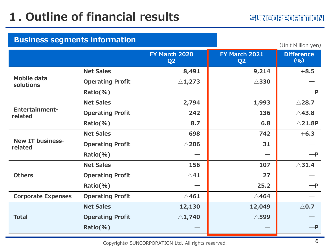| <b>Business segments information</b> |                         |                                 |                                 | (Unit Million yen)        |
|--------------------------------------|-------------------------|---------------------------------|---------------------------------|---------------------------|
|                                      |                         | FY March 2020<br>Q <sub>2</sub> | FY March 2021<br>Q <sub>2</sub> | <b>Difference</b><br>(96) |
|                                      | <b>Net Sales</b>        | 8,491                           | 9,214                           | $+8.5$                    |
| <b>Mobile data</b><br>solutions      | <b>Operating Profit</b> | $\triangle$ 1,273               | $\triangle$ 330                 |                           |
|                                      | Ratio(%)                |                                 |                                 | $-P$                      |
|                                      | <b>Net Sales</b>        | 2,794                           | 1,993                           | $\triangle$ 28.7          |
| <b>Entertainment-</b><br>related     | <b>Operating Profit</b> | 242                             | 136                             | $\triangle$ 43.8          |
|                                      | $Ratio(\% )$            | 8.7                             | 6.8                             | $\triangle$ 21.8P         |
|                                      | <b>Net Sales</b>        | 698                             | 742                             | $+6.3$                    |
| <b>New IT business-</b><br>related   | <b>Operating Profit</b> | $\triangle$ 206                 | 31                              |                           |
|                                      | Ratio(%)                |                                 |                                 | $-P$                      |
|                                      | <b>Net Sales</b>        | 156                             | 107                             | $\triangle$ 31.4          |
| <b>Others</b>                        | <b>Operating Profit</b> | $\triangle$ 41                  | 27                              |                           |
|                                      | Ratio(%)                |                                 | 25.2                            | $-P$                      |
| <b>Corporate Expenses</b>            | <b>Operating Profit</b> | $\triangle$ 461                 | $\triangle$ 464                 |                           |
|                                      | <b>Net Sales</b>        | 12,130                          | 12,049                          | $\triangle$ 0.7           |
| <b>Total</b>                         | <b>Operating Profit</b> | $\triangle$ 1,740               | $\triangle$ 599                 |                           |
|                                      | Ratio(%)                |                                 |                                 | $-P$                      |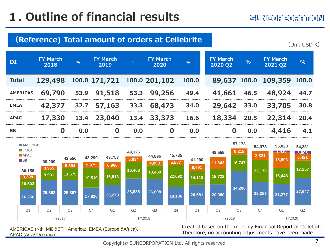APAC (Asia/ Oceania)

#### **DI FY March <sup>2018</sup> % FY March <sup>2019</sup> % FY March <sup>2020</sup> % Total 129,498 100.0 171,721 100.0 201,102 100.0 AMERICAS 69,790 53.9 91,518 53.3 99,256 49.4 EMEA 42,377 32.7 57,163 33.3 68,473 34.0 APAC 17,330 13.4 23,040 13.4 33,373 16.6 BB 0 0.0 0 0.0 0 0.0 (Reference) Total amount of orders at Cellebrite** Created based on the monthly Financial Report of Cellebrite. Therefore, no accounting adjustments have been made. (Unit USD K) AMERICAS (Nth, MID&STH America), EMEA (Europe &Africa), **FY March 2020 Q2 % FY March 2021 Q2 % 89,637 100.0 109,359 100.0 41,661 46.5 48,924 44.7 29,642 33.0 33,705 30.8 18,334 20.5 22,314 20.4 0 0.0 4,416 4.1 16,256 25,353 25,367 17,810 20,278 26,888 26,608 18,106 20,681 20,980 34,208 23,387 21,277 27,647 10,503 9,901 11,679 19,510 16,513 16,403 13,480 22,092 14,118 15,732 16,747 22,170 16,448 17,257 3,398 3,955 5,504 5,979 6,966 5,834 4,808 5,587 6,491 11,843 6,218 8,821 15,893 6,421 1,410 3,006 30,158 39,209 42,550 43,299 43,757 49,125 44,896 45,785 41,290 48,555 57,173 54,378 55,028 54,331** Q1 Q2 Q3 Q4 Q1 Q2 Q3 Q4 Q1 Q2 Q3 Q4 Q1 Q2 FY2017 FY2018 FY2019 FY2020 **AMERICAS EMEA APAC BB**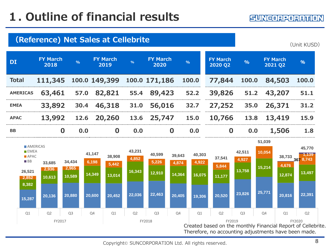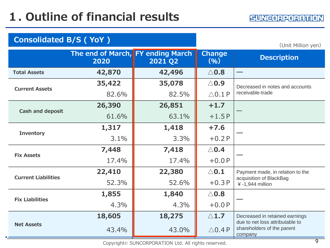$\blacksquare$ 

| <b>Consolidated B/S (YoY)</b> |                                           | (Unit Million yen) |                       |                                                                          |
|-------------------------------|-------------------------------------------|--------------------|-----------------------|--------------------------------------------------------------------------|
|                               | The end of March, FY ending March<br>2020 | 2021 Q2            | <b>Change</b><br>(96) | <b>Description</b>                                                       |
| <b>Total Assets</b>           | 42,870                                    | 42,496             | $\triangle$ 0.8       |                                                                          |
| <b>Current Assets</b>         | 35,422                                    | 35,078             | $\triangle$ 0.9       | Decreased in notes and accounts                                          |
|                               | 82.6%                                     | 82.5%              | $\triangle$ 0.1 P     | receivable-trade                                                         |
| <b>Cash and deposit</b>       | 26,390                                    | 26,851             | $+1.7$                |                                                                          |
|                               | 61.6%                                     | 63.1%              | $+1.5P$               |                                                                          |
| <b>Inventory</b>              | 1,317                                     | 1,418              | $+7.6$                |                                                                          |
|                               | 3.1%                                      | 3.3%               | $+0.2P$               |                                                                          |
| <b>Fix Assets</b>             | 7,448                                     | 7,418              | $\triangle$ 0.4       |                                                                          |
|                               | 17.4%                                     | 17.4%              | $+0.0P$               |                                                                          |
| <b>Current Liabilities</b>    | 22,410                                    | 22,380             | $\triangle$ 0.1       | Payment made, in relation to the                                         |
|                               | 52.3%                                     | 52.6%              | $+0.3P$               | acquisition of BlackBag<br>$4 - 1,944$ million                           |
| <b>Fix Liabilities</b>        | 1,855                                     | 1,840              | $\triangle$ 0.8       |                                                                          |
|                               | 4.3%                                      | 4.3%               | $+0.0P$               |                                                                          |
|                               | 18,605                                    | 18,275             | $\triangle$ 1.7       | Decreased in retained earnings                                           |
| <b>Net Assets</b>             | 43.4%                                     | 43.0%              | $\triangle$ 0.4 P     | due to net loss attributable to<br>shareholders of the parent<br>company |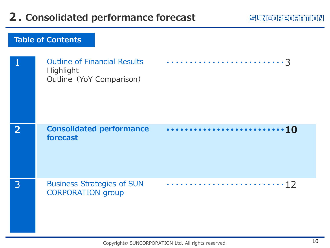## **2. Consolidated performance forecast**

#### **SUNCORPORANION**

|                | <b>Outline of Financial Results</b><br>Highlight<br>Outline (YoY Comparison) |    |
|----------------|------------------------------------------------------------------------------|----|
| $\overline{2}$ | <b>Consolidated performance</b><br>forecast                                  | 10 |
| 3              | <b>Business Strategies of SUN</b><br><b>CORPORATION</b> group                |    |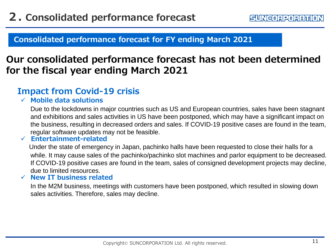**Consolidated performance forecast for FY ending March 2021**

## **Our consolidated performance forecast has not been determined for the fiscal year ending March 2021**

### **Impact from Covid-19 crisis**

#### **Mobile data solutions**

Due to the lockdowns in major countries such as US and European countries, sales have been stagnant and exhibitions and sales activities in US have been postponed, which may have a significant impact on the business, resulting in decreased orders and sales. If COVID-19 positive cases are found in the team, regular software updates may not be feasible.

#### **Entertainment-related**

Under the state of emergency in Japan, pachinko halls have been requested to close their halls for a while. It may cause sales of the pachinko/pachinko slot machines and parlor equipment to be decreased. If COVID-19 positive cases are found in the team, sales of consigned development projects may decline, due to limited resources.

#### **New IT business related**

In the M2M business, meetings with customers have been postponed, which resulted in slowing down sales activities. Therefore, sales may decline.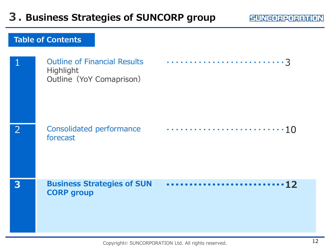|              | <b>Outline of Financial Results</b><br>Highlight<br>Outline (YoY Comaprison) |  |
|--------------|------------------------------------------------------------------------------|--|
| <sup>2</sup> | Consolidated performance<br>forecast                                         |  |
| 3            | <b>Business Strategies of SUN</b><br><b>CORP group</b>                       |  |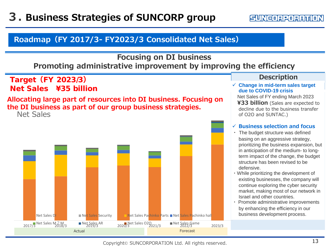SUNCORPORATION

#### **Roadmap(FY 2017/3- FY2023/3 Consolidated Net Sales)**

#### **Focusing on DI business Promoting administrative improvement by improving the efficiency**

Target**(**FY 2023/3**)** Net Sales ¥35 billion

#### **Allocating large part of resources into DI business. Focusing on the DI business as part of our group business strategies.**

Net Sales



#### **Description**

 **Change in mid-term sales target due to COVID-19 crisis**

Net Sales of FY ending March 2023 **¥33 billion** (Sales are expected to decline due to the business transfer of O2O and SUNTAC.)

#### **Business selection and focus**

- ・ The budget structure was defined basing on an aggressive strategy, prioritizing the business expansion, but in anticipation of the medium- to longterm impact of the change, the budget structure has been revised to be defensive.
- ・While prioritizing the development of existing businesses, the company will continue exploring the cyber security market, making most of our network in Israel and other countries.
- ・ Promote administrative improvements by enhancing the efficiency in our business development process.

Copyright© SUNCORPORATION Ltd. All rights reserved.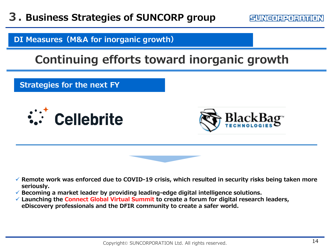SUNEORPORATION

**DI Measures(M&A for inorganic growth)**

## **Continuing efforts toward inorganic growth**

**Strategies for the next FY**





- **Remote work was enforced due to COVID-19 crisis, which resulted in security risks being taken more seriously.**
- **Becoming a market leader by providing leading-edge digital intelligence solutions.**
- **Launching the Connect Global Virtual Summit to create a forum for digital research leaders, eDiscovery professionals and the DFIR community to create a safer world.**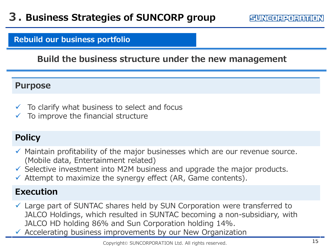#### **Rebuild our business portfolio**

#### **Build the business structure under the new management**

#### **Purpose**

- $\checkmark$  To clarify what business to select and focus
- $\checkmark$  To improve the financial structure

## **Policy**

- $\checkmark$  Maintain profitability of the major businesses which are our revenue source. (Mobile data, Entertainment related)
- $\checkmark$  Selective investment into M2M business and upgrade the major products.
- $\checkmark$  Attempt to maximize the synergy effect (AR, Game contents).

### **Execution**

- Large part of SUNTAC shares held by SUN Corporation were transferred to JALCO Holdings, which resulted in SUNTAC becoming a non-subsidiary, with JALCO HD holding 86% and Sun Corporation holding 14%.
- $\checkmark$  Accelerating business improvements by our New Organization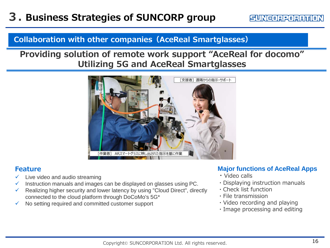#### **Collaboration with other companies(AceReal Smartglasses)**

### **Providing solution of remote work support "AceReal for docomo" Utilizing 5G and AceReal Smartglasses**



#### **Feature**

- $\checkmark$  Live video and audio streaming
- $\checkmark$  Instruction manuals and images can be displayed on glasses using PC.
- Realizing higher security and lower latency by using "Cloud Direct", directly connected to the cloud platform through DoCoMo's 5G\*
- No setting required and committed customer support

#### **Major functions of AceReal Apps**

- ・Video calls
- ・Displaying instruction manuals
- ・Check list function
- ・File transmission
- ・Video recording and playing
- ・Image processing and editing